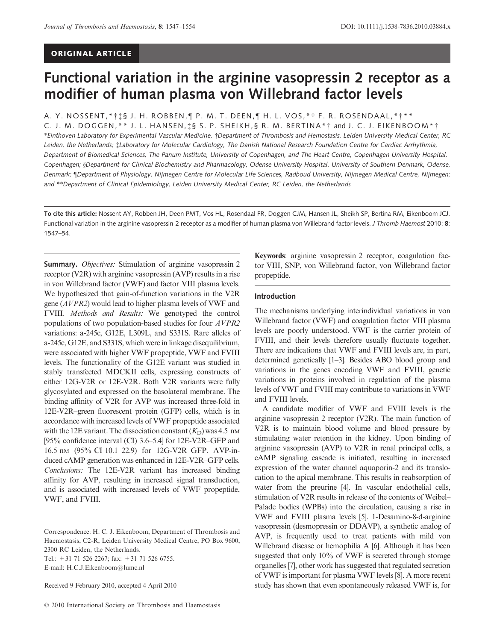# Functional variation in the arginine vasopressin 2 receptor as a modifier of human plasma von Willebrand factor levels

A. Y. NOSSENT,\*†‡§ J. H. ROBBEN,¶ P. M. T. DEEN,¶ H. L. VOS,\*† F. R. ROSENDAAL,\*†\*\* C. J. M. DOGGEN,\*\* J. L. HANSEN,‡§ S. P. SHEIKH,§ R. M. BERTINA\*† and J. C. J. EIKENBOOM\*† \*Einthoven Laboratory for Experimental Vascular Medicine, †Department of Thrombosis and Hemostasis, Leiden University Medical Center, RC Leiden, the Netherlands; Laboratory for Molecular Cardiology, The Danish National Research Foundation Centre for Cardiac Arrhythmia, Department of Biomedical Sciences, The Panum Institute, University of Copenhagen, and The Heart Centre, Copenhagen University Hospital, Copenhagen; §Department for Clinical Biochemistry and Pharmacology, Odense University Hospital, University of Southern Denmark, Odense, Denmark; "Department of Physiology, Nijmegen Centre for Molecular Life Sciences, Radboud University, Nijmegen Medical Centre, Nijmegen; and \*\*Department of Clinical Epidemiology, Leiden University Medical Center, RC Leiden, the Netherlands

To cite this article: Nossent AY, Robben JH, Deen PMT, Vos HL, Rosendaal FR, Doggen CJM, Hansen JL, Sheikh SP, Bertina RM, Eikenboom JCJ. Functional variation in the arginine vasopressin 2 receptor as a modifier of human plasma von Willebrand factor levels. J Thromb Haemost 2010; 8: 1547–54.

**Summary.** *Objectives:* Stimulation of arginine vasopressin 2 receptor (V2R) with arginine vasopressin (AVP) results in a rise in von Willebrand factor (VWF) and factor VIII plasma levels. We hypothesized that gain-of-function variations in the V2R gene (AVPR2) would lead to higher plasma levels of VWF and FVIII. Methods and Results: We genotyped the control populations of two population-based studies for four AVPR2 variations: a-245c, G12E, L309L, and S331S. Rare alleles of a-245c, G12E, and S331S, which were in linkage disequilibrium, were associated with higher VWF propeptide, VWF and FVIII levels. The functionality of the G12E variant was studied in stably transfected MDCKII cells, expressing constructs of either 12G-V2R or 12E-V2R. Both V2R variants were fully glycosylated and expressed on the basolateral membrane. The binding affinity of V2R for AVP was increased three-fold in 12E-V2R–green fluorescent protein (GFP) cells, which is in accordance with increased levels of VWF propeptide associated with the 12E variant. The dissociation constant  $(K_D)$  was 4.5 nm [95% confidence interval (CI) 3.6–5.4] for 12E-V2R–GFP and 16.5 nM (95% CI 10.1–22.9) for 12G-V2R–GFP. AVP-induced cAMP generation was enhanced in 12E-V2R–GFP cells. Conclusions: The 12E-V2R variant has increased binding affinity for AVP, resulting in increased signal transduction, and is associated with increased levels of VWF propeptide, VWF, and FVIII.

Correspondence: H. C. J. Eikenboom, Department of Thrombosis and Haemostasis, C2-R, Leiden University Medical Centre, PO Box 9600, 2300 RC Leiden, the Netherlands. Tel.: +31 71 526 2267; fax: +31 71 526 6755. E-mail: H.C.J.Eikenboom@lumc.nl

Received 9 February 2010, accepted 4 April 2010

Keywords: arginine vasopressin 2 receptor, coagulation factor VIII, SNP, von Willebrand factor, von Willebrand factor propeptide.

#### Introduction

The mechanisms underlying interindividual variations in von Willebrand factor (VWF) and coagulation factor VIII plasma levels are poorly understood. VWF is the carrier protein of FVIII, and their levels therefore usually fluctuate together. There are indications that VWF and FVIII levels are, in part, determined genetically [1–3]. Besides ABO blood group and variations in the genes encoding VWF and FVIII, genetic variations in proteins involved in regulation of the plasma levels of VWF and FVIII may contribute to variations in VWF and FVIII levels.

A candidate modifier of VWF and FVIII levels is the arginine vasopressin 2 receptor (V2R). The main function of V2R is to maintain blood volume and blood pressure by stimulating water retention in the kidney. Upon binding of arginine vasopressin (AVP) to V2R in renal principal cells, a cAMP signaling cascade is initiated, resulting in increased expression of the water channel aquaporin-2 and its translocation to the apical membrane. This results in reabsorption of water from the preurine [4]. In vascular endothelial cells, stimulation of V2R results in release of the contents of Weibel– Palade bodies (WPBs) into the circulation, causing a rise in VWF and FVIII plasma levels [5]. 1-Desamino-8-d-arginine vasopressin (desmopressin or DDAVP), a synthetic analog of AVP, is frequently used to treat patients with mild von Willebrand disease or hemophilia A [6]. Although it has been suggested that only 10% of VWF is secreted through storage organelles [7], other work has suggested that regulated secretion of VWF is important for plasma VWF levels [8]. A more recent study has shown that even spontaneously released VWF is, for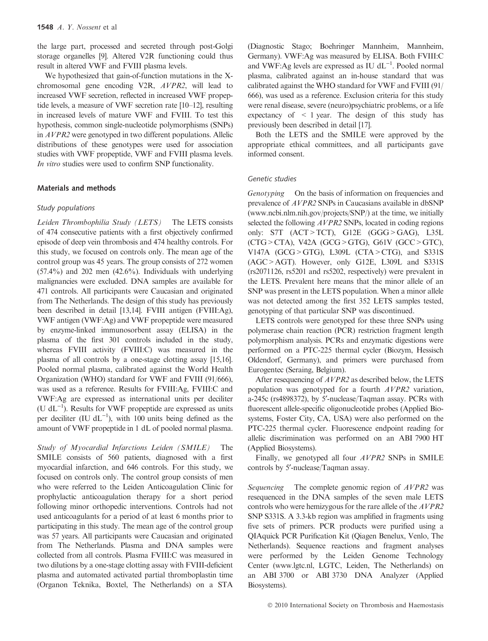the large part, processed and secreted through post-Golgi storage organelles [9]. Altered V2R functioning could thus result in altered VWF and FVIII plasma levels.

We hypothesized that gain-of-function mutations in the Xchromosomal gene encoding V2R, AVPR2, will lead to increased VWF secretion, reflected in increased VWF propeptide levels, a measure of VWF secretion rate [10–12], resulting in increased levels of mature VWF and FVIII. To test this hypothesis, common single-nucleotide polymorphisms (SNPs) in AVPR2 were genotyped in two different populations. Allelic distributions of these genotypes were used for association studies with VWF propeptide, VWF and FVIII plasma levels. In vitro studies were used to confirm SNP functionality.

## Materials and methods

#### Study populations

Leiden Thrombophilia Study (LETS) The LETS consists of 474 consecutive patients with a first objectively confirmed episode of deep vein thrombosis and 474 healthy controls. For this study, we focused on controls only. The mean age of the control group was 45 years. The group consists of 272 women  $(57.4\%)$  and  $202$  men  $(42.6\%)$ . Individuals with underlying malignancies were excluded. DNA samples are available for 471 controls. All participants were Caucasian and originated from The Netherlands. The design of this study has previously been described in detail [13,14]. FVIII antigen (FVIII:Ag), VWF antigen (VWF:Ag) and VWF propeptide were measured by enzyme-linked immunosorbent assay (ELISA) in the plasma of the first 301 controls included in the study, whereas FVIII activity (FVIII:C) was measured in the plasma of all controls by a one-stage clotting assay [15,16]. Pooled normal plasma, calibrated against the World Health Organization (WHO) standard for VWF and FVIII (91/666), was used as a reference. Results for FVIII:Ag, FVIII:C and VWF:Ag are expressed as international units per deciliter (U  $dL^{-1}$ ). Results for VWF propeptide are expressed as units per deciliter (IU  $dL^{-1}$ ), with 100 units being defined as the amount of VWF propeptide in 1 dL of pooled normal plasma.

Study of Myocardial Infarctions Leiden (SMILE) The SMILE consists of 560 patients, diagnosed with a first myocardial infarction, and 646 controls. For this study, we focused on controls only. The control group consists of men who were referred to the Leiden Anticoagulation Clinic for prophylactic anticoagulation therapy for a short period following minor orthopedic interventions. Controls had not used anticoagulants for a period of at least 6 months prior to participating in this study. The mean age of the control group was 57 years. All participants were Caucasian and originated from The Netherlands. Plasma and DNA samples were collected from all controls. Plasma FVIII:C was measured in two dilutions by a one-stage clotting assay with FVIII-deficient plasma and automated activated partial thromboplastin time (Organon Teknika, Boxtel, The Netherlands) on a STA (Diagnostic Stago; Boehringer Mannheim, Mannheim, Germany). VWF:Ag was measured by ELISA. Both FVIII:C and VWF:Ag levels are expressed as IU  $dL^{-1}$ . Pooled normal plasma, calibrated against an in-house standard that was calibrated against the WHO standard for VWF and FVIII (91/ 666), was used as a reference. Exclusion criteria for this study were renal disease, severe (neuro)psychiatric problems, or a life expectancy of  $\leq 1$  year. The design of this study has previously been described in detail [17].

Both the LETS and the SMILE were approved by the appropriate ethical committees, and all participants gave informed consent.

#### Genetic studies

Genotyping On the basis of information on frequencies and prevalence of AVPR2 SNPs in Caucasians available in dbSNP (www.ncbi.nlm.nih.gov/projects/SNP/) at the time, we initially selected the following *AVPR2* SNPs, located in coding regions only: S7T (ACT>TCT), G12E (GGG>GAG), L35L (CTG>CTA), V42A (GCG>GTG), G61V (GCC>GTC), V147A (GCG>GTG), L309L (CTA>CTG), and S331S (AGC>AGT). However, only G12E, L309L and S331S (rs2071126, rs5201 and rs5202, respectively) were prevalent in the LETS. Prevalent here means that the minor allele of an SNP was present in the LETS population. When a minor allele was not detected among the first 352 LETS samples tested, genotyping of that particular SNP was discontinued.

LETS controls were genotyped for these three SNPs using polymerase chain reaction (PCR) restriction fragment length polymorphism analysis. PCRs and enzymatic digestions were performed on a PTC-225 thermal cycler (Biozym, Hessisch Oldendorf, Germany), and primers were purchased from Eurogentec (Seraing, Belgium).

After resequencing of AVPR2 as described below, the LETS population was genotyped for a fourth AVPR2 variation, a-245c (rs4898372), by 5'-nuclease/Taqman assay. PCRs with fluorescent allele-specific oligonucleotide probes (Applied Biosystems, Foster City, CA, USA) were also performed on the PTC-225 thermal cycler. Fluorescence endpoint reading for allelic discrimination was performed on an ABI 7900 HT (Applied Biosystems).

Finally, we genotyped all four AVPR2 SNPs in SMILE controls by 5'-nuclease/Taqman assay.

Sequencing The complete genomic region of  $AVPR2$  was resequenced in the DNA samples of the seven male LETS controls who were hemizygous for the rare allele of the AVPR2 SNP S331S. A 3.3-kb region was amplified in fragments using five sets of primers. PCR products were purified using a QIAquick PCR Purification Kit (Qiagen Benelux, Venlo, The Netherlands). Sequence reactions and fragment analyses were performed by the Leiden Genome Technology Center (www.lgtc.nl, LGTC, Leiden, The Netherlands) on an ABI 3700 or ABI 3730 DNA Analyzer (Applied Biosystems).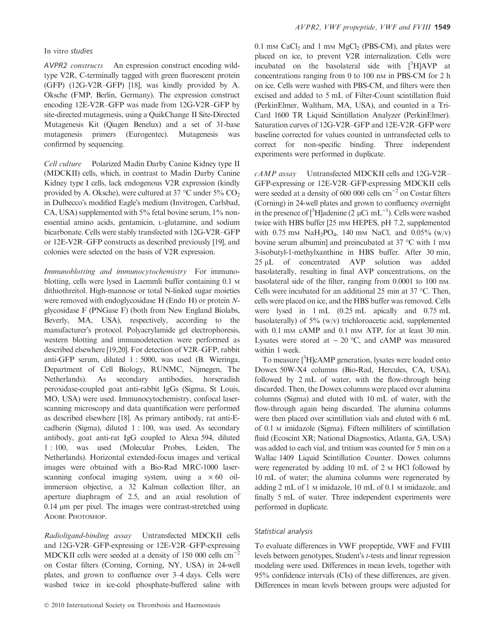### In vitro studies

AVPR2 constructs An expression construct encoding wildtype V2R, C-terminally tagged with green fluorescent protein (GFP) (12G-V2R–GFP) [18], was kindly provided by A. Oksche (FMP, Berlin, Germany). The expression construct encoding 12E-V2R–GFP was made from 12G-V2R–GFP by site-directed mutagenesis, using a QuikChange II Site-Directed Mutagenesis Kit (Qiagen Benelux) and a set of 31-base mutagenesis primers (Eurogentec). Mutagenesis was confirmed by sequencing.

Cell culture Polarized Madin Darby Canine Kidney type II (MDCKII) cells, which, in contrast to Madin Darby Canine Kidney type I cells, lack endogenous V2R expression (kindly provided by A. Oksche), were cultured at 37 °C under 5%  $CO<sub>2</sub>$ in Dulbecco's modified Eagle's medium (Invitrogen, Carlsbad, CA, USA) supplemented with 5% fetal bovine serum, 1% nonessential amino acids, gentamicin, L-glutamine, and sodium bicarbonate. Cells were stably transfected with 12G-V2R–GFP or 12E-V2R–GFP constructs as described previously [19], and colonies were selected on the basis of V2R expression.

Immunoblotting and immunocytochemistry For immunoblotting, cells were lysed in Laemmli buffer containing 0.1 M dithiothreitol. High-mannose or total N-linked sugar moieties were removed with endoglycosidase H (Endo H) or protein Nglycosidase F (PNGase F) (both from New England Biolabs, Beverly, MA, USA), respectively, according to the manufacturer's protocol. Polyacrylamide gel electrophoresis, western blotting and immunodetection were performed as described elsewhere [19,20]. For detection of V2R–GFP, rabbit anti-GFP serum, diluted 1 : 5000, was used (B. Wieringa, Department of Cell Biology, RUNMC, Nijmegen, The Netherlands). As secondary antibodies, horseradish peroxidase-coupled goat anti-rabbit IgGs (Sigma, St Louis, MO, USA) were used. Immunocytochemistry, confocal laserscanning microscopy and data quantification were performed as described elsewhere [18]. As primary antibody, rat anti-Ecadherin (Sigma), diluted 1 : 100, was used. As secondary antibody, goat anti-rat IgG coupled to Alexa 594, diluted 1 : 100, was used (Molecular Probes, Leiden, The Netherlands). Horizontal extended-focus images and vertical images were obtained with a Bio-Rad MRC-1000 laserscanning confocal imaging system, using  $a \times 60$  oilimmersion objective, a 32 Kalman collection filter, an aperture diaphragm of 2.5, and an axial resolution of  $0.14 \mu m$  per pixel. The images were contrast-stretched using ADOBE PHOTOSHOP.

Radioligand-binding assay Untransfected MDCKII cells and 12G-V2R–GFP-expressing or 12E-V2R–GFP-expressing MDCKII cells were seeded at a density of 150 000 cells cm<sup>-</sup> on Costar filters (Corning, Corning, NY, USA) in 24-well plates, and grown to confluence over 3–4 days. Cells were washed twice in ice-cold phosphate-buffered saline with  $0.1$  mm CaCl<sub>2</sub> and 1 mm MgCl<sub>2</sub> (PBS-CM), and plates were placed on ice, to prevent V2R internalization. Cells were incubated on the basolateral side with  $[^{3}H]$ AVP at concentrations ranging from 0 to 100 nm in PBS-CM for 2 h on ice. Cells were washed with PBS-CM, and filters were then excised and added to 5 mL of Filter-Count scintillation fluid (PerkinElmer, Waltham, MA, USA), and counted in a Tri-Card 1600 TR Liquid Scintillation Analyzer (PerkinElmer). Saturation curves of 12G-V2R–GFP and 12E-V2R–GFP were baseline corrected for values counted in untransfected cells to correct for non-specific binding. Three independent experiments were performed in duplicate.

cAMP assay Untransfected MDCKII cells and 12G-V2R– GFP-expressing or 12E-V2R–GFP-expressing MDCKII cells were seeded at a density of 600 000 cells  $cm^{-2}$  on Costar filters (Corning) in 24-well plates and grown to confluency overnight in the presence of  $[{}^{3}H]$ adenine (2 µCi mL<sup>-1</sup>). Cells were washed twice with HBS buffer [25 mm HEPES, pH 7.2, supplemented with 0.75 mm NaH<sub>2</sub>PO<sub>4</sub>, 140 mm NaCl, and 0.05% (w/v) bovine serum albumin] and preincubated at 37  $^{\circ}$ C with 1 mm 3-isobutyl-1-methylxanthine in HBS buffer. After 30 min, 25 µL of concentrated AVP solution was added basolaterally, resulting in final AVP concentrations, on the basolateral side of the filter, ranging from 0.0001 to 100 nM. Cells were incubated for an additional 25 min at 37  $^{\circ}$ C. Then, cells were placed on ice, and the HBS buffer was removed. Cells were lysed in 1 mL (0.25 mL apically and 0.75 mL basolaterally) of  $5\%$  (w/v) trichloroacetic acid, supplemented with 0.1 mm cAMP and 0.1 mm ATP, for at least 30 min. Lysates were stored at  $-$  20 °C, and cAMP was measured within 1 week.

To measure [<sup>3</sup>H]cAMP generation, lysates were loaded onto Dowex 50W-X4 columns (Bio-Rad, Hercules, CA, USA), followed by 2 mL of water, with the flow-through being discarded. Then, the Dowex columns were placed over alumina columns (Sigma) and eluted with 10 mL of water, with the flow-through again being discarded. The alumina columns were then placed over scintillation vials and eluted with 6 mL of 0.1 M imidazole (Sigma). Fifteen milliliters of scintillation fluid (Ecoscint XR; National Diagnostics, Atlanta, GA, USA) was added to each vial, and tritium was counted for 5 min on a Wallac 1409 Liquid Scintillation Counter. Dowex columns were regenerated by adding 10 mL of 2 M HCl followed by 10 mL of water; the alumina columns were regenerated by adding 2 mL of 1 M imidazole, 10 mL of 0.1 M imidazole, and finally 5 mL of water. Three independent experiments were performed in duplicate.

#### Statistical analysis

To evaluate differences in VWF propeptide, VWF and FVIII levels between genotypes, Student's t-tests and linear regression modeling were used. Differences in mean levels, together with 95% confidence intervals (CIs) of these differences, are given. Differences in mean levels between groups were adjusted for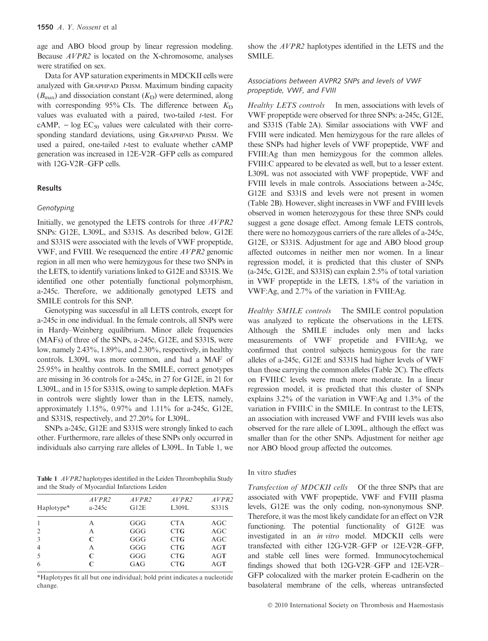age and ABO blood group by linear regression modeling. Because AVPR2 is located on the X-chromosome, analyses were stratified on sex.

Data for AVP saturation experiments in MDCKII cells were analyzed with GRAPHPAD PRISM. Maximum binding capacity  $(B_{\text{max}})$  and dissociation constant  $(K_{\text{D}})$  were determined, along with corresponding 95% CIs. The difference between  $K_D$ values was evaluated with a paired, two-tailed  $t$ -test. For  $cAMP$ ,  $- log EC<sub>50</sub>$  values were calculated with their corresponding standard deviations, using GRAPHPAD PRISM. We used a paired, one-tailed  $t$ -test to evaluate whether  $cAMP$ generation was increased in 12E-V2R–GFP cells as compared with 12G-V2R–GFP cells.

## Results

### Genotyping

Initially, we genotyped the LETS controls for three AVPR2 SNPs: G12E, L309L, and S331S. As described below, G12E and S331S were associated with the levels of VWF propeptide, VWF, and FVIII. We resequenced the entire AVPR2 genomic region in all men who were hemizygous for these two SNPs in the LETS, to identify variations linked to G12E and S331S. We identified one other potentially functional polymorphism, a-245c. Therefore, we additionally genotyped LETS and SMILE controls for this SNP.

Genotyping was successful in all LETS controls, except for a-245c in one individual. In the female controls, all SNPs were in Hardy–Weinberg equilibrium. Minor allele frequencies (MAFs) of three of the SNPs, a-245c, G12E, and S331S, were low, namely 2.43%, 1.89%, and 2.30%, respectively, in healthy controls. L309L was more common, and had a MAF of 25.95% in healthy controls. In the SMILE, correct genotypes are missing in 36 controls for a-245c, in 27 for G12E, in 21 for L309L, and in 15 for S331S, owing to sample depletion. MAFs in controls were slightly lower than in the LETS, namely, approximately 1.15%, 0.97% and 1.11% for a-245c, G12E, and S331S, respectively, and 27.20% for L309L.

SNPs a-245c, G12E and S331S were strongly linked to each other. Furthermore, rare alleles of these SNPs only occurred in individuals also carrying rare alleles of L309L. In Table 1, we

Table 1 *AVPR2* haplotypes identified in the Leiden Thrombophilia Study and the Study of Myocardial Infarctions Leiden

| Haplotype*     | AVPR2<br>$a-245c$ | AVPR2<br>G12E | AVPR2<br>L309L | AVPR2<br>S331S |  |  |
|----------------|-------------------|---------------|----------------|----------------|--|--|
|                | A                 | GGG           | <b>CTA</b>     | AGC            |  |  |
| $\overline{2}$ | А                 | GGG           | <b>CTG</b>     | AGC            |  |  |
| 3              | C                 | GGG           | CTG            | AGC            |  |  |
| $\overline{4}$ | A                 | GGG           | CTG            | AGT            |  |  |
| 5              | C                 | GGG           | <b>CTG</b>     | AGT            |  |  |
| 6              | C                 | GAG           | <b>CTG</b>     | AGT            |  |  |
|                |                   |               |                |                |  |  |

\*Haplotypes fit all but one individual; bold print indicates a nucleotide change.

show the *AVPR2* haplotypes identified in the LETS and the SMILE.

## Associations between AVPR2 SNPs and levels of VWF propeptide, VWF, and FVIII

Healthy LETS controls In men, associations with levels of VWF propeptide were observed for three SNPs: a-245c, G12E, and S331S (Table 2A). Similar associations with VWF and FVIII were indicated. Men hemizygous for the rare alleles of these SNPs had higher levels of VWF propeptide, VWF and FVIII:Ag than men hemizygous for the common alleles. FVIII:C appeared to be elevated as well, but to a lesser extent. L309L was not associated with VWF propeptide, VWF and FVIII levels in male controls. Associations between a-245c, G12E and S331S and levels were not present in women (Table 2B). However, slight increases in VWF and FVIII levels observed in women heterozygous for these three SNPs could suggest a gene dosage effect. Among female LETS controls, there were no homozygous carriers of the rare alleles of a-245c, G12E, or S331S. Adjustment for age and ABO blood group affected outcomes in neither men nor women. In a linear regression model, it is predicted that this cluster of SNPs (a-245c, G12E, and S331S) can explain 2.5% of total variation in VWF propeptide in the LETS, 1.8% of the variation in VWF:Ag, and 2.7% of the variation in FVIII:Ag.

Healthy SMILE controls The SMILE control population was analyzed to replicate the observations in the LETS. Although the SMILE includes only men and lacks measurements of VWF propetide and FVIII:Ag, we confirmed that control subjects hemizygous for the rare alleles of a-245c, G12E and S331S had higher levels of VWF than those carrying the common alleles (Table 2C). The effects on FVIII:C levels were much more moderate. In a linear regression model, it is predicted that this cluster of SNPs explains 3.2% of the variation in VWF:Ag and 1.3% of the variation in FVIII:C in the SMILE. In contrast to the LETS, an association with increased VWF and FVIII levels was also observed for the rare allele of L309L, although the effect was smaller than for the other SNPs. Adjustment for neither age nor ABO blood group affected the outcomes.

## In vitro studies

Transfection of MDCKII cells Of the three SNPs that are associated with VWF propeptide, VWF and FVIII plasma levels, G12E was the only coding, non-synonymous SNP. Therefore, it was the most likely candidate for an effect on V2R functioning. The potential functionality of G12E was investigated in an in vitro model. MDCKII cells were transfected with either 12G-V2R–GFP or 12E-V2R–GFP, and stable cell lines were formed. Immunocytochemical findings showed that both 12G-V2R–GFP and 12E-V2R– GFP colocalized with the marker protein E-cadherin on the basolateral membrane of the cells, whereas untransfected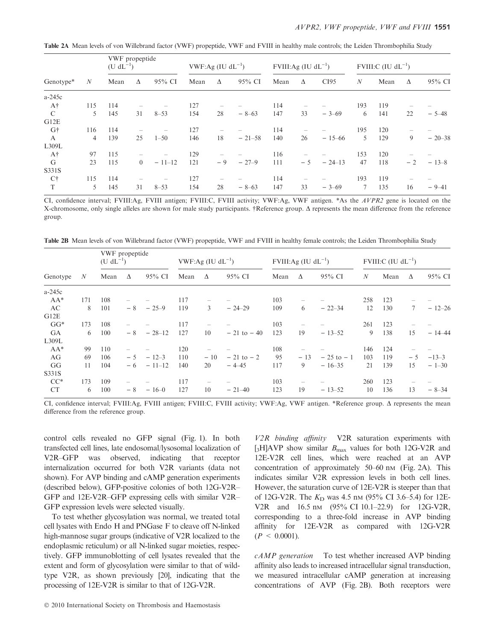Table 2A Mean levels of von Willebrand factor (VWF) propeptide, VWF and FVIII in healthy male controls; the Leiden Thrombophilia Study

| Genotype*     | N   | VWF propeptide<br>$(U dL^{-1})$ |          |          | VWF:Ag (IU $dL^{-1}$ ) |      | FVIII:Ag (IU $dL^{-1}$ ) |      |      | FVIII:C $(IU \, dL^{-1})$ |     |      |      |           |
|---------------|-----|---------------------------------|----------|----------|------------------------|------|--------------------------|------|------|---------------------------|-----|------|------|-----------|
|               |     | Mean                            | Δ        | 95% CI   | Mean                   | Δ    | 95% CI                   | Mean | Δ    | CI95                      | N   | Mean | Δ    | 95% CI    |
| $a-245c$      |     |                                 |          |          |                        |      |                          |      |      |                           |     |      |      |           |
| $A\dagger$    | 115 | 114                             |          | -        | 127                    |      |                          | 114  |      |                           | 193 | 119  |      |           |
| $\mathcal{C}$ | 5   | 145                             | 31       | $8 - 53$ | 154                    | 28   | $-8-63$                  | 147  | 33   | $-3-69$                   | 6   | 141  | 22   | $-5 - 48$ |
| G12E          |     |                                 |          |          |                        |      |                          |      |      |                           |     |      |      |           |
| G†            | 116 | 114                             |          | -        | 127                    |      |                          | 114  |      |                           | 195 | 120  | -    |           |
| A             | 4   | 139                             | 25       | $1 - 50$ | 146                    | 18   | $-21-58$                 | 140  | 26   | $-15-66$                  | 5   | 129  | 9    | $-20-38$  |
| L309L         |     |                                 |          |          |                        |      |                          |      |      |                           |     |      |      |           |
| $A\dagger$    | 97  | 115                             |          |          | 129                    |      |                          | 116  |      |                           | 153 | 120  |      |           |
| G             | 23  | 115                             | $\Omega$ | $-11-12$ | 121                    | $-9$ | $-27-9$                  | 111  | $-5$ | $-24-13$                  | 47  | 118  | $-2$ | $-13-8$   |
| S331S         |     |                                 |          |          |                        |      |                          |      |      |                           |     |      |      |           |
| C†            | 115 | 114                             |          |          | 127                    |      |                          | 114  |      |                           | 193 | 119  |      |           |
| T             | 5   | 145                             | 31       | $8 - 53$ | 154                    | 28   | $-8-63$                  | 147  | 33   | $-3-69$                   |     | 135  | 16   | $-9-41$   |

CI, confidence interval; FVIII:Ag, FVIII antigen; FVIII:C, FVIII activity; VWF:Ag, VWF antigen. \*As the AVPR2 gene is located on the X-chromosome, only single alleles are shown for male study participants. †Reference group.  $\Delta$  represents the mean difference from the reference group.

Table 2B Mean levels of von Willebrand factor (VWF) propeptide, VWF and FVIII in healthy female controls; the Leiden Thrombophilia Study

| Genotype  |     | VWF propeptide<br>$(U dL^{-1})$ |      | VWF:Ag (IU $dL^{-1}$ ) |      | FVIII:Ag (IU $dL^{-1}$ )        |                |      | FVIII:C $(IU \, dL^{-1})$ |               |                  |      |                 |          |
|-----------|-----|---------------------------------|------|------------------------|------|---------------------------------|----------------|------|---------------------------|---------------|------------------|------|-----------------|----------|
|           | N   | Mean                            | Δ    | 95% CI                 | Mean | $\Delta$                        | 95% CI         | Mean | Δ                         | 95% CI        | $\boldsymbol{N}$ | Mean | Δ               | 95% CI   |
| $a-245c$  |     |                                 |      |                        |      |                                 |                |      |                           |               |                  |      |                 |          |
| $AA^*$    | 171 | 108                             |      |                        | 117  | -                               |                | 103  |                           |               | 258              | 123  |                 |          |
| AC        | 8   | 101                             | - 8  | $-25-9$                | 119  | 3                               | $-24-29$       | 109  | 6                         | $-22-34$      | 12               | 130  | $7\phantom{.0}$ | $-12-26$ |
| G12E      |     |                                 |      |                        |      |                                 |                |      |                           |               |                  |      |                 |          |
| $GG*$     | 173 | 108                             |      |                        | 117  | -                               |                | 103  |                           |               | 261              | 123  |                 |          |
| <b>GA</b> | 6   | 100                             | $-8$ | $-28-12$               | 127  | 10                              | $-21$ to $-40$ | 123  | 19                        | $-13-52$      | 9                | 138  | 15              | $-14-44$ |
| L309L     |     |                                 |      |                        |      |                                 |                |      |                           |               |                  |      |                 |          |
| $AA^*$    | 99  | 110                             |      |                        | 120  | $\qquad \qquad -$               |                | 108  |                           |               | 146              | 124  |                 |          |
| AG        | 69  | 106                             | $-5$ | $-12-3$                | 110  | $-10$                           | $-21$ to $-2$  | 95   | $-13$                     | $-25$ to $-1$ | 103              | 119  | $-5$            | $-13-3$  |
| GG        | 11  | 104                             | - 6  | $-11-12$               | 140  | 20                              | $-4 - 45$      | 117  | 9                         | $-16-35$      | 21               | 139  | 15              | $-1-30$  |
| S331S     |     |                                 |      |                        |      |                                 |                |      |                           |               |                  |      |                 |          |
| $CC^*$    | 173 | 109                             |      |                        | 117  | $\hspace{0.1mm}-\hspace{0.1mm}$ |                | 103  |                           |               | 260              | 123  |                 |          |
| <b>CT</b> | 6   | 100                             | - 8  | $-16-0$                | 127  | 10                              | $-21-40$       | 123  | 19                        | $-13-52$      | 10               | 136  | 13              | $-8-34$  |

CI, confidence interval; FVIII:Ag, FVIII antigen; FVIII:C, FVIII activity; VWF:Ag, VWF antigen. \*Reference group. D represents the mean difference from the reference group.

control cells revealed no GFP signal (Fig. 1). In both transfected cell lines, late endosomal/lysosomal localization of V2R–GFP was observed, indicating that receptor internalization occurred for both V2R variants (data not shown). For AVP binding and cAMP generation experiments (described below), GFP-positive colonies of both 12G-V2R– GFP and 12E-V2R–GFP expressing cells with similar V2R– GFP expression levels were selected visually.

To test whether glycosylation was normal, we treated total cell lysates with Endo H and PNGase F to cleave off N-linked high-mannose sugar groups (indicative of V2R localized to the endoplasmic reticulum) or all N-linked sugar moieties, respectively. GFP immunoblotting of cell lysates revealed that the extent and form of glycosylation were similar to that of wildtype V2R, as shown previously [20], indicating that the processing of 12E-V2R is similar to that of 12G-V2R.

V2R binding affinity V2R saturation experiments with [3H]AVP show similar  $B_{\text{max}}$  values for both 12G-V2R and 12E-V2R cell lines, which were reached at an AVP concentration of approximately  $50-60$  nm (Fig. 2A). This indicates similar V2R expression levels in both cell lines. However, the saturation curve of 12E-V2R is steeper than that of 12G-V2R. The  $K_D$  was 4.5 nm (95% CI 3.6–5.4) for 12E-V2R and 16.5 nm (95% CI 10.1-22.9) for 12G-V2R, corresponding to a three-fold increase in AVP binding affinity for 12E-V2R as compared with 12G-V2R  $(P < 0.0001)$ .

cAMP generation To test whether increased AVP binding affinity also leads to increased intracellular signal transduction, we measured intracellular cAMP generation at increasing concentrations of AVP (Fig. 2B). Both receptors were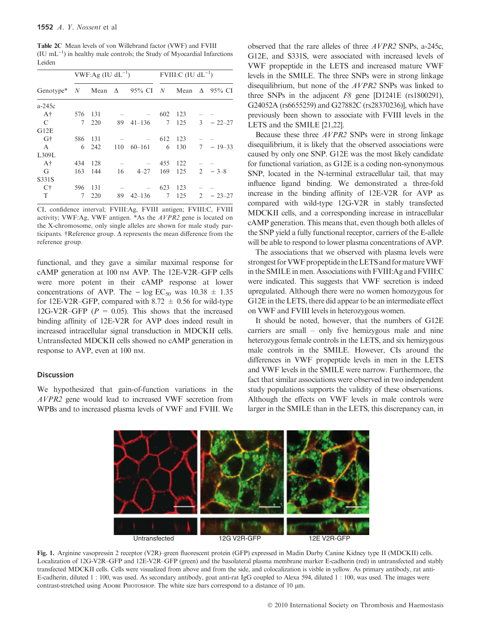Table 2C Mean levels of von Willebrand factor (VWF) and FVIII  $($ IU mL<sup>-1</sup> $)$  in healthy male controls; the Study of Myocardial Infarctions Leiden

|                                                     |             | $VWF:Ag (IU dL^{-1})$ |     |                          | FVIII:C $(IU \, dL^{-1})$ |       |                |                 |  |  |
|-----------------------------------------------------|-------------|-----------------------|-----|--------------------------|---------------------------|-------|----------------|-----------------|--|--|
| Genotype <sup>*</sup> N Mean $\Delta$ 95% CI N Mean |             |                       |     |                          |                           |       |                | $\Delta$ 95% CI |  |  |
| a-245c                                              |             |                       |     |                          |                           |       |                |                 |  |  |
| Αt                                                  | 576         | - 131                 |     |                          | 602                       | 123   |                |                 |  |  |
| $\mathcal{C}$                                       | $7^{\circ}$ | 220                   | 89  | $41 - 136$               |                           | 7 125 |                | $3 - 22 - 27$   |  |  |
| G12E                                                |             |                       |     |                          |                           |       |                |                 |  |  |
| Gt                                                  | 586         | 131                   |     | $\overline{\phantom{0}}$ | 612                       | 123   |                |                 |  |  |
| $\mathsf{A}$                                        | 6           | 242                   | 110 | $60 - 161$               | 6                         | 130   |                | $7 - 19 - 33$   |  |  |
| L309L                                               |             |                       |     |                          |                           |       |                |                 |  |  |
| $A\dagger$                                          | 434         | 128                   |     |                          | 455                       | 122   |                |                 |  |  |
| G                                                   | 163         | 144                   | 16  | $4 - 27$                 | 169                       | 125   |                | $2 - 3 - 8$     |  |  |
| S331S                                               |             |                       |     |                          |                           |       |                |                 |  |  |
| $C\dagger$                                          | 596         | 131                   |     |                          | 623                       | 123   |                |                 |  |  |
| T                                                   | 7           | 220                   | 89  | $42 - 136$               | 7                         | 125   | $\mathfrak{D}$ | $-23-27$        |  |  |

CI, confidence interval; FVIII:Ag, FVIII antigen; FVIII:C, FVIII activity; VWF:Ag, VWF antigen. \*As the AVPR2 gene is located on the X-chromosome, only single alleles are shown for male study participants. †Reference group.  $\Delta$  represents the mean difference from the reference group.

functional, and they gave a similar maximal response for cAMP generation at 100 nM AVP. The 12E-V2R–GFP cells were more potent in their cAMP response at lower concentrations of AVP. The  $- \log EC_{50}$  was  $10.38 \pm 1.35$ for 12E-V2R–GFP, compared with 8.72  $\pm$  0.56 for wild-type 12G-V2R–GFP ( $P = 0.05$ ). This shows that the increased binding affinity of 12E-V2R for AVP does indeed result in increased intracellular signal transduction in MDCKII cells. Untransfected MDCKII cells showed no cAMP generation in response to AVP, even at 100 nM.

## **Discussion**

We hypothesized that gain-of-function variations in the AVPR2 gene would lead to increased VWF secretion from WPBs and to increased plasma levels of VWF and FVIII. We observed that the rare alleles of three AVPR2 SNPs, a-245c, G12E, and S331S, were associated with increased levels of VWF propeptide in the LETS and increased mature VWF levels in the SMILE. The three SNPs were in strong linkage disequilibrium, but none of the AVPR2 SNPs was linked to three SNPs in the adjacent F8 gene [D1241E (rs1800291), G24052A (rs6655259) and G27882C (rs28370236)], which have previously been shown to associate with FVIII levels in the LETS and the SMILE [21,22].

Because these three AVPR2 SNPs were in strong linkage disequilibrium, it is likely that the observed associations were caused by only one SNP. G12E was the most likely candidate for functional variation, as G12E is a coding non-synonymous SNP, located in the N-terminal extracellular tail, that may influence ligand binding. We demonstrated a three-fold increase in the binding affinity of 12E-V2R for AVP as compared with wild-type 12G-V2R in stably transfected MDCKII cells, and a corresponding increase in intracellular cAMP generation. This means that, even though both alleles of the SNP yield a fully functional receptor, carriers of the E-allele will be able to respond to lower plasma concentrations of AVP.

The associations that we observed with plasma levels were strongest for VWF propeptide in the LETS and for mature VWF in the SMILE in men. Associations with FVIII:Ag and FVIII:C were indicated. This suggests that VWF secretion is indeed upregulated. Although there were no women homozygous for G12E in the LETS, there did appear to be an intermediate effect on VWF and FVIII levels in heterozygous women.

It should be noted, however, that the numbers of G12E carriers are small – only five hemizygous male and nine heterozygous female controls in the LETS, and six hemizygous male controls in the SMILE. However, CIs around the differences in VWF propeptide levels in men in the LETS and VWF levels in the SMILE were narrow. Furthermore, the fact that similar associations were observed in two independent study populations supports the validity of these observations. Although the effects on VWF levels in male controls were larger in the SMILE than in the LETS, this discrepancy can, in



Fig. 1. Arginine vasopressin 2 receptor (V2R)–green fluorescent protein (GFP) expressed in Madin Darby Canine Kidney type II (MDCKII) cells. Localization of 12G-V2R–GFP and 12E-V2R–GFP (green) and the basolateral plasma membrane marker E-cadherin (red) in untransfected and stably transfected MDCKII cells. Cells were visualized from above and from the side, and colocalization is visble in yellow. As primary antibody, rat anti-E-cadherin, diluted 1 : 100, was used. As secondary antibody, goat anti-rat IgG coupled to Alexa 594, diluted 1 : 100, was used. The images were contrast-stretched using ADOBE PHOTOSHOP. The white size bars correspond to a distance of 10  $\mu$ m.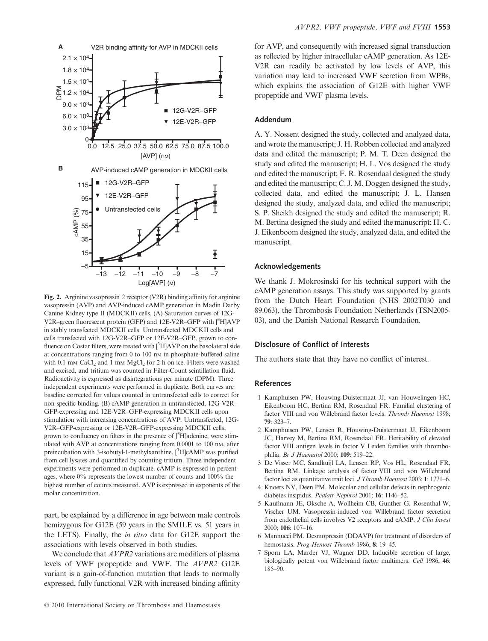

Fig. 2. Arginine vasopressin 2 receptor (V2R) binding affinity for arginine vasopressin (AVP) and AVP-induced cAMP generation in Madin Darby Canine Kidney type II (MDCKII) cells. (A) Saturation curves of 12G-V2R-green fluorescent protein (GFP) and 12E-V2R-GFP with [3H]AVP in stably transfected MDCKII cells. Untransfected MDCKII cells and cells transfected with 12G-V2R–GFP or 12E-V2R–GFP, grown to confluence on Costar filters, were treated with [<sup>3</sup>H]AVP on the basolateral side at concentrations ranging from 0 to 100 nM in phosphate-buffered saline with 0.1 mm CaCl<sub>2</sub> and 1 mm MgCl<sub>2</sub> for 2 h on ice. Filters were washed and excised, and tritium was counted in Filter-Count scintillation fluid. Radioactivity is expressed as disintegrations per minute (DPM). Three independent experiments were performed in duplicate. Both curves are baseline corrected for values counted in untransfected cells to correct for non-specific binding. (B) cAMP generation in untransfected, 12G-V2R– GFP-expressing and 12E-V2R–GFP-expressing MDCKII cells upon stimulation with increasing concentrations of AVP. Untransfected, 12G-V2R–GFP-expressing or 12E-V2R–GFP-expressing MDCKII cells, grown to confluency on filters in the presence of  $[^3$ H]adenine, were stimulated with AVP at concentrations ranging from 0.0001 to 100 nm, after preincubation with 3-isobutyl-1-methylxanthine. [<sup>3</sup>H]cAMP was purified from cell lysates and quantified by counting tritium. Three independent experiments were performed in duplicate. cAMP is expressed in percentages, where 0% represents the lowest number of counts and 100% the highest number of counts measured. AVP is expressed in exponents of the molar concentration.

part, be explained by a difference in age between male controls hemizygous for G12E (59 years in the SMILE vs. 51 years in the LETS). Finally, the in vitro data for G12E support the associations with levels observed in both studies.

We conclude that  $AVPR2$  variations are modifiers of plasma levels of VWF propeptide and VWF. The AVPR2 G12E variant is a gain-of-function mutation that leads to normally expressed, fully functional V2R with increased binding affinity

for AVP, and consequently with increased signal transduction as reflected by higher intracellular cAMP generation. As 12E-V2R can readily be activated by low levels of AVP, this variation may lead to increased VWF secretion from WPBs, which explains the association of G12E with higher VWF propeptide and VWF plasma levels.

### Addendum

A. Y. Nossent designed the study, collected and analyzed data, and wrote the manuscript; J. H. Robben collected and analyzed data and edited the manuscript; P. M. T. Deen designed the study and edited the manuscript; H. L. Vos designed the study and edited the manuscript; F. R. Rosendaal designed the study and edited the manuscript; C. J. M. Doggen designed the study, collected data, and edited the manuscript; J. L. Hansen designed the study, analyzed data, and edited the manuscript; S. P. Sheikh designed the study and edited the manuscript; R. M. Bertina designed the study and edited the manuscript; H. C. J. Eikenboom designed the study, analyzed data, and edited the manuscript.

## Acknowledgements

We thank J. Mokrosinski for his technical support with the cAMP generation assays. This study was supported by grants from the Dutch Heart Foundation (NHS 2002T030 and 89.063), the Thrombosis Foundation Netherlands (TSN2005- 03), and the Danish National Research Foundation.

# Disclosure of Conflict of Interests

The authors state that they have no conflict of interest.

## References

- 1 Kamphuisen PW, Houwing-Duistermaat JJ, van Houwelingen HC, Eikenboom HC, Bertina RM, Rosendaal FR. Familial clustering of factor VIII and von Willebrand factor levels. Thromb Haemost 1998; 79: 323–7.
- 2 Kamphuisen PW, Lensen R, Houwing-Duistermaat JJ, Eikenboom JC, Harvey M, Bertina RM, Rosendaal FR. Heritability of elevated factor VIII antigen levels in factor V Leiden families with thrombophilia. Br J Haematol 2000; 109: 519–22.
- 3 De Visser MC, Sandkuijl LA, Lensen RP, Vos HL, Rosendaal FR, Bertina RM. Linkage analysis of factor VIII and von Willebrand factor loci as quantitative trait loci. J Thromb Haemost 2003; 1: 1771–6.
- 4 Knoers NV, Deen PM. Molecular and cellular defects in nephrogenic diabetes insipidus. Pediatr Nephrol 2001; 16: 1146–52.
- 5 Kaufmann JE, Oksche A, Wollheim CB, Gunther G, Rosenthal W, Vischer UM. Vasopressin-induced von Willebrand factor secretion from endothelial cells involves V2 receptors and cAMP. J Clin Invest 2000; 106: 107–16.
- 6 Mannucci PM. Desmopressin (DDAVP) for treatment of disorders of hemostasis. Prog Hemost Thromb 1986; 8: 19-45.
- 7 Sporn LA, Marder VJ, Wagner DD. Inducible secretion of large, biologically potent von Willebrand factor multimers. Cell 1986; 46: 185–90.